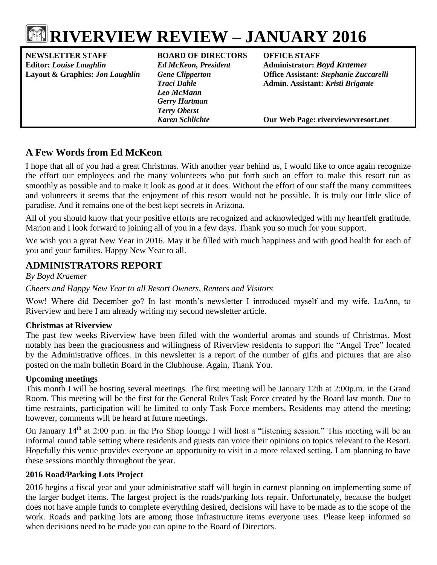# **RIVERVIEW REVIEW – JANUARY 2016**

**NEWSLETTER STAFF BOARD OF DIRECTORS OFFICE STAFF Editor:** *Louise Laughlin Ed McKeon, President* **Administrator:** *Boyd Kraemer*

*Leo McMann Gerry Hartman Terry Oberst*

**Layout & Graphics:** *Jon Laughlin Gene Clipperton* **Office Assistant:** *Stephanie Zuccarelli Traci Dahle* **Admin. Assistant:** *Kristi Brigante*

*Karen Schlichte* **Our Web Page: riverviewrvresort.net**

## **A Few Words from Ed McKeon**

I hope that all of you had a great Christmas. With another year behind us, I would like to once again recognize the effort our employees and the many volunteers who put forth such an effort to make this resort run as smoothly as possible and to make it look as good at it does. Without the effort of our staff the many committees and volunteers it seems that the enjoyment of this resort would not be possible. It is truly our little slice of paradise. And it remains one of the best kept secrets in Arizona.

All of you should know that your positive efforts are recognized and acknowledged with my heartfelt gratitude. Marion and I look forward to joining all of you in a few days. Thank you so much for your support.

We wish you a great New Year in 2016. May it be filled with much happiness and with good health for each of you and your families. Happy New Year to all.

## **ADMINISTRATORS REPORT**

*By Boyd Kraemer*

#### *Cheers and Happy New Year to all Resort Owners, Renters and Visitors*

Wow! Where did December go? In last month's newsletter I introduced myself and my wife, LuAnn, to Riverview and here I am already writing my second newsletter article.

#### **Christmas at Riverview**

The past few weeks Riverview have been filled with the wonderful aromas and sounds of Christmas. Most notably has been the graciousness and willingness of Riverview residents to support the "Angel Tree" located by the Administrative offices. In this newsletter is a report of the number of gifts and pictures that are also posted on the main bulletin Board in the Clubhouse. Again, Thank You.

#### **Upcoming meetings**

This month I will be hosting several meetings. The first meeting will be January 12th at 2:00p.m. in the Grand Room. This meeting will be the first for the General Rules Task Force created by the Board last month. Due to time restraints, participation will be limited to only Task Force members. Residents may attend the meeting; however, comments will be heard at future meetings.

On January 14<sup>th</sup> at 2:00 p.m. in the Pro Shop lounge I will host a "listening session." This meeting will be an informal round table setting where residents and guests can voice their opinions on topics relevant to the Resort. Hopefully this venue provides everyone an opportunity to visit in a more relaxed setting. I am planning to have these sessions monthly throughout the year.

### **2016 Road/Parking Lots Project**

2016 begins a fiscal year and your administrative staff will begin in earnest planning on implementing some of the larger budget items. The largest project is the roads/parking lots repair. Unfortunately, because the budget does not have ample funds to complete everything desired, decisions will have to be made as to the scope of the work. Roads and parking lots are among those infrastructure items everyone uses. Please keep informed so when decisions need to be made you can opine to the Board of Directors.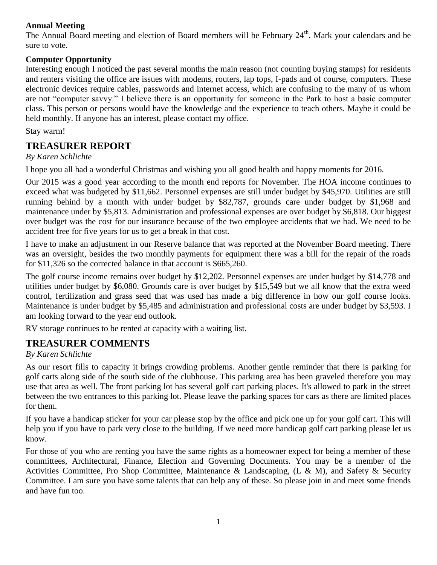#### **Annual Meeting**

The Annual Board meeting and election of Board members will be February 24<sup>th</sup>. Mark your calendars and be sure to vote.

#### **Computer Opportunity**

Interesting enough I noticed the past several months the main reason (not counting buying stamps) for residents and renters visiting the office are issues with modems, routers, lap tops, I-pads and of course, computers. These electronic devices require cables, passwords and internet access, which are confusing to the many of us whom are not "computer savvy." I believe there is an opportunity for someone in the Park to host a basic computer class. This person or persons would have the knowledge and the experience to teach others. Maybe it could be held monthly. If anyone has an interest, please contact my office.

Stay warm!

## **TREASURER REPORT**

#### *By Karen Schlichte*

I hope you all had a wonderful Christmas and wishing you all good health and happy moments for 2016.

Our 2015 was a good year according to the month end reports for November. The HOA income continues to exceed what was budgeted by \$11,662. Personnel expenses are still under budget by \$45,970. Utilities are still running behind by a month with under budget by \$82,787, grounds care under budget by \$1,968 and maintenance under by \$5,813. Administration and professional expenses are over budget by \$6,818. Our biggest over budget was the cost for our insurance because of the two employee accidents that we had. We need to be accident free for five years for us to get a break in that cost.

I have to make an adjustment in our Reserve balance that was reported at the November Board meeting. There was an oversight, besides the two monthly payments for equipment there was a bill for the repair of the roads for \$11,326 so the corrected balance in that account is \$665,260.

The golf course income remains over budget by \$12,202. Personnel expenses are under budget by \$14,778 and utilities under budget by \$6,080. Grounds care is over budget by \$15,549 but we all know that the extra weed control, fertilization and grass seed that was used has made a big difference in how our golf course looks. Maintenance is under budget by \$5,485 and administration and professional costs are under budget by \$3,593. I am looking forward to the year end outlook.

RV storage continues to be rented at capacity with a waiting list.

## **TREASURER COMMENTS**

#### *By Karen Schlichte*

As our resort fills to capacity it brings crowding problems. Another gentle reminder that there is parking for golf carts along side of the south side of the clubhouse. This parking area has been graveled therefore you may use that area as well. The front parking lot has several golf cart parking places. It's allowed to park in the street between the two entrances to this parking lot. Please leave the parking spaces for cars as there are limited places for them.

If you have a handicap sticker for your car please stop by the office and pick one up for your golf cart. This will help you if you have to park very close to the building. If we need more handicap golf cart parking please let us know.

For those of you who are renting you have the same rights as a homeowner expect for being a member of these committees, Architectural, Finance, Election and Governing Documents. You may be a member of the Activities Committee, Pro Shop Committee, Maintenance & Landscaping, (L & M), and Safety & Security Committee. I am sure you have some talents that can help any of these. So please join in and meet some friends and have fun too.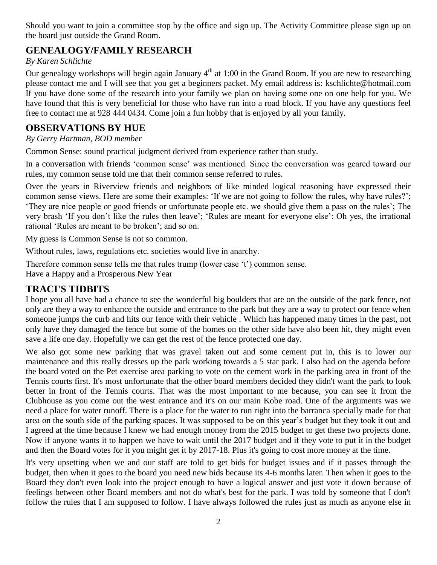Should you want to join a committee stop by the office and sign up. The Activity Committee please sign up on the board just outside the Grand Room.

## **GENEALOGY/FAMILY RESEARCH**

#### *By Karen Schlichte*

Our genealogy workshops will begin again January  $4<sup>th</sup>$  at 1:00 in the Grand Room. If you are new to researching please contact me and I will see that you get a beginners packet. My email address is: [kschlichte@hotmail.com](mailto:kschlichte@hotmail.com) If you have done some of the research into your family we plan on having some one on one help for you. We have found that this is very beneficial for those who have run into a road block. If you have any questions feel free to contact me at 928 444 0434. Come join a fun hobby that is enjoyed by all your family.

## **OBSERVATIONS BY HUE**

*By Gerry Hartman, BOD member*

Common Sense: sound practical judgment derived from experience rather than study.

In a conversation with friends 'common sense' was mentioned. Since the conversation was geared toward our rules, my common sense told me that their common sense referred to rules.

Over the years in Riverview friends and neighbors of like minded logical reasoning have expressed their common sense views. Here are some their examples: 'If we are not going to follow the rules, why have rules?'; 'They are nice people or good friends or unfortunate people etc. we should give them a pass on the rules'; The very brash 'If you don't like the rules then leave'; 'Rules are meant for everyone else': Oh yes, the irrational rational 'Rules are meant to be broken'; and so on.

My guess is Common Sense is not so common.

Without rules, laws, regulations etc. societies would live in anarchy.

Therefore common sense tells me that rules trump (lower case 't') common sense.

Have a Happy and a Prosperous New Year

## **TRACI'S TIDBITS**

I hope you all have had a chance to see the wonderful big boulders that are on the outside of the park fence, not only are they a way to enhance the outside and entrance to the park but they are a way to protect our fence when someone jumps the curb and hits our fence with their vehicle . Which has happened many times in the past, not only have they damaged the fence but some of the homes on the other side have also been hit, they might even save a life one day. Hopefully we can get the rest of the fence protected one day.

We also got some new parking that was gravel taken out and some cement put in, this is to lower our maintenance and this really dresses up the park working towards a 5 star park. I also had on the agenda before the board voted on the Pet exercise area parking to vote on the cement work in the parking area in front of the Tennis courts first. It's most unfortunate that the other board members decided they didn't want the park to look better in front of the Tennis courts. That was the most important to me because, you can see it from the Clubhouse as you come out the west entrance and it's on our main Kobe road. One of the arguments was we need a place for water runoff. There is a place for the water to run right into the barranca specially made for that area on the south side of the parking spaces. It was supposed to be on this year's budget but they took it out and I agreed at the time because I knew we had enough money from the 2015 budget to get these two projects done. Now if anyone wants it to happen we have to wait until the 2017 budget and if they vote to put it in the budget and then the Board votes for it you might get it by 2017-18. Plus it's going to cost more money at the time.

It's very upsetting when we and our staff are told to get bids for budget issues and if it passes through the budget, then when it goes to the board you need new bids because its 4-6 months later. Then when it goes to the Board they don't even look into the project enough to have a logical answer and just vote it down because of feelings between other Board members and not do what's best for the park. I was told by someone that I don't follow the rules that I am supposed to follow. I have always followed the rules just as much as anyone else in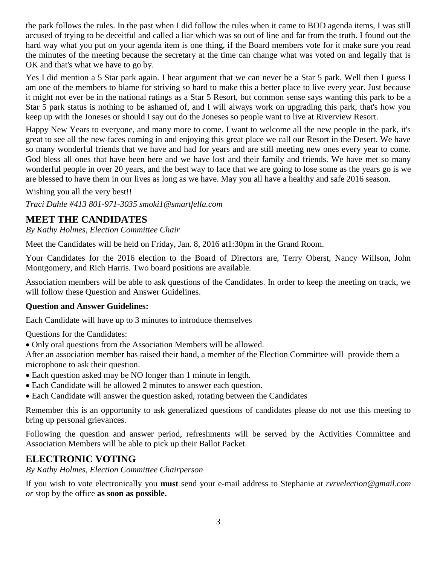the park follows the rules. In the past when I did follow the rules when it came to BOD agenda items, I was still accused of trying to be deceitful and called a liar which was so out of line and far from the truth. I found out the hard way what you put on your agenda item is one thing, if the Board members vote for it make sure you read the minutes of the meeting because the secretary at the time can change what was voted on and legally that is OK and that's what we have to go by.

Yes I did mention a 5 Star park again. I hear argument that we can never be a Star 5 park. Well then I guess I am one of the members to blame for striving so hard to make this a better place to live every year. Just because it might not ever be in the national ratings as a Star 5 Resort, but common sense says wanting this park to be a Star 5 park status is nothing to be ashamed of, and I will always work on upgrading this park, that's how you keep up with the Joneses or should I say out do the Joneses so people want to live at Riverview Resort.

Happy New Years to everyone, and many more to come. I want to welcome all the new people in the park, it's great to see all the new faces coming in and enjoying this great place we call our Resort in the Desert. We have so many wonderful friends that we have and had for years and are still meeting new ones every year to come. God bless all ones that have been here and we have lost and their family and friends. We have met so many wonderful people in over 20 years, and the best way to face that we are going to lose some as the years go is we are blessed to have them in our lives as long as we have. May you all have a healthy and safe 2016 season.

Wishing you all the very best!!

*Traci Dahle #413 801-971-3035 smoki1@smartfella.com*

## **MEET THE CANDIDATES**

*By Kathy Holmes, Election Committee Chair*

Meet the Candidates will be held on Friday, Jan. 8, 2016 at1:30pm in the Grand Room.

Your Candidates for the 2016 election to the Board of Directors are, Terry Oberst, Nancy Willson, John Montgomery, and Rich Harris. Two board positions are available.

Association members will be able to ask questions of the Candidates. In order to keep the meeting on track, we will follow these Question and Answer Guidelines.

#### **Question and Answer Guidelines:**

Each Candidate will have up to 3 minutes to introduce themselves

Questions for the Candidates:

Only oral questions from the Association Members will be allowed.

After an association member has raised their hand, a member of the Election Committee will provide them a microphone to ask their question.

- Each question asked may be NO longer than 1 minute in length.
- Each Candidate will be allowed 2 minutes to answer each question.
- Each Candidate will answer the question asked, rotating between the Candidates

Remember this is an opportunity to ask generalized questions of candidates please do not use this meeting to bring up personal grievances.

Following the question and answer period, refreshments will be served by the Activities Committee and Association Members will be able to pick up their Ballot Packet.

### **ELECTRONIC VOTING**

*By Kathy Holmes, Election Committee Chairperson*

If you wish to vote electronically you **must** send your e-mail address to Stephanie at *[rvrvelection@gmail.com](mailto:rvrvelection@gmail.com) or* stop by the office **as soon as possible.**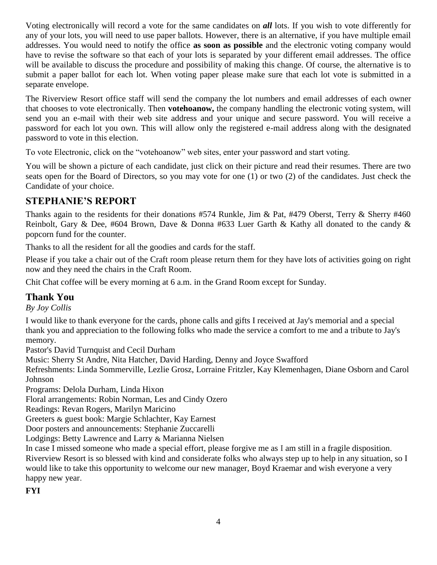Voting electronically will record a vote for the same candidates on *all* lots. If you wish to vote differently for any of your lots, you will need to use paper ballots. However, there is an alternative, if you have multiple email addresses. You would need to notify the office **as soon as possible** and the electronic voting company would have to revise the software so that each of your lots is separated by your different email addresses. The office will be available to discuss the procedure and possibility of making this change. Of course, the alternative is to submit a paper ballot for each lot. When voting paper please make sure that each lot vote is submitted in a separate envelope.

The Riverview Resort office staff will send the company the lot numbers and email addresses of each owner that chooses to vote electronically. Then **votehoanow,** the company handling the electronic voting system, will send you an e-mail with their web site address and your unique and secure password. You will receive a password for each lot you own. This will allow only the registered e-mail address along with the designated password to vote in this election.

To vote Electronic, click on the "votehoanow" web sites, enter your password and start voting.

You will be shown a picture of each candidate, just click on their picture and read their resumes. There are two seats open for the Board of Directors, so you may vote for one (1) or two (2) of the candidates. Just check the Candidate of your choice.

## **STEPHANIE'S REPORT**

Thanks again to the residents for their donations #574 Runkle, Jim & Pat, #479 Oberst, Terry & Sherry #460 Reinbolt, Gary & Dee, #604 Brown, Dave & Donna #633 Luer Garth & Kathy all donated to the candy & popcorn fund for the counter.

Thanks to all the resident for all the goodies and cards for the staff.

Please if you take a chair out of the Craft room please return them for they have lots of activities going on right now and they need the chairs in the Craft Room.

Chit Chat coffee will be every morning at 6 a.m. in the Grand Room except for Sunday.

## **Thank You**

*By Joy Collis*

I would like to thank everyone for the cards, phone calls and gifts I received at Jay's memorial and a special thank you and appreciation to the following folks who made the service a comfort to me and a tribute to Jay's memory.

Pastor's David Turnquist and Cecil Durham

Music: Sherry St Andre, Nita Hatcher, David Harding, Denny and Joyce Swafford

Refreshments: Linda Sommerville, Lezlie Grosz, Lorraine Fritzler, Kay Klemenhagen, Diane Osborn and Carol Johnson

Programs: Delola Durham, Linda Hixon

Floral arrangements: Robin Norman, Les and Cindy Ozero

Readings: Revan Rogers, Marilyn Maricino

Greeters & guest book: Margie Schlachter, Kay Earnest

Door posters and announcements: Stephanie Zuccarelli

Lodgings: Betty Lawrence and Larry & Marianna Nielsen

In case I missed someone who made a special effort, please forgive me as I am still in a fragile disposition. Riverview Resort is so blessed with kind and considerate folks who always step up to help in any situation, so I would like to take this opportunity to welcome our new manager, Boyd Kraemar and wish everyone a very happy new year.

**FYI**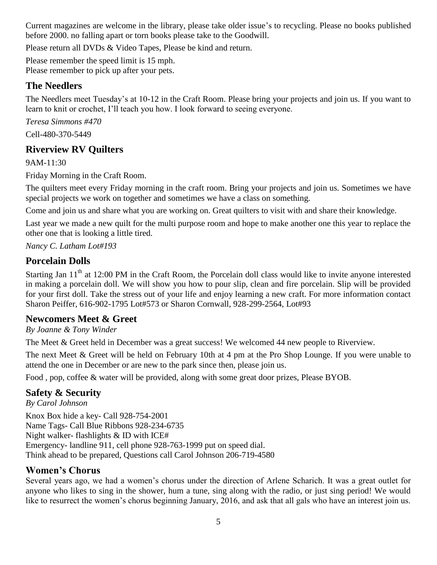Current magazines are welcome in the library, please take older issue's to recycling. Please no books published before 2000. no falling apart or torn books please take to the Goodwill.

Please return all DVDs & Video Tapes, Please be kind and return.

Please remember the speed limit is 15 mph. Please remember to pick up after your pets.

## **The Needlers**

The Needlers meet Tuesday's at 10-12 in the Craft Room. Please bring your projects and join us. If you want to learn to knit or crochet, I'll teach you how. I look forward to seeing everyone.

*Teresa Simmons #470*  Cell-480-370-5449

## **Riverview RV Quilters**

9AM-11:30

Friday Morning in the Craft Room.

The quilters meet every Friday morning in the craft room. Bring your projects and join us. Sometimes we have special projects we work on together and sometimes we have a class on something.

Come and join us and share what you are working on. Great quilters to visit with and share their knowledge.

Last year we made a new quilt for the multi purpose room and hope to make another one this year to replace the other one that is looking a little tired.

*Nancy C. Latham Lot#193*

## **Porcelain Dolls**

Starting Jan 11<sup>th</sup> at 12:00 PM in the Craft Room, the Porcelain doll class would like to invite anyone interested in making a porcelain doll. We will show you how to pour slip, clean and fire porcelain. Slip will be provided for your first doll. Take the stress out of your life and enjoy learning a new craft. For more information contact Sharon Peiffer, 616-902-1795 Lot#573 or Sharon Cornwall, 928-299-2564, Lot#93

## **Newcomers Meet & Greet**

*By Joanne & Tony Winder*

The Meet & Greet held in December was a great success! We welcomed 44 new people to Riverview.

The next Meet & Greet will be held on February 10th at 4 pm at the Pro Shop Lounge. If you were unable to attend the one in December or are new to the park since then, please join us.

Food , pop, coffee & water will be provided, along with some great door prizes, Please BYOB.

## **Safety & Security**

*By Carol Johnson* Knox Box hide a key- Call 928-754-2001 Name Tags- Call Blue Ribbons 928-234-6735 Night walker- flashlights & ID with ICE# Emergency- landline 911, cell phone 928-763-1999 put on speed dial. Think ahead to be prepared, Questions call Carol Johnson 206-719-4580

## **Women's Chorus**

Several years ago, we had a women's chorus under the direction of Arlene Scharich. It was a great outlet for anyone who likes to sing in the shower, hum a tune, sing along with the radio, or just sing period! We would like to resurrect the women's chorus beginning January, 2016, and ask that all gals who have an interest join us.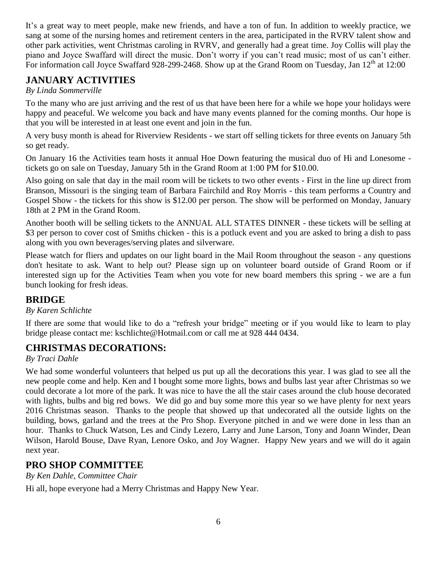It's a great way to meet people, make new friends, and have a ton of fun. In addition to weekly practice, we sang at some of the nursing homes and retirement centers in the area, participated in the RVRV talent show and other park activities, went Christmas caroling in RVRV, and generally had a great time. Joy Collis will play the piano and Joyce Swaffard will direct the music. Don't worry if you can't read music; most of us can't either. For information call Joyce Swaffard 928-299-2468. Show up at the Grand Room on Tuesday, Jan 12<sup>th</sup> at 12:00

## **JANUARY ACTIVITIES**

#### *By Linda Sommerville*

To the many who are just arriving and the rest of us that have been here for a while we hope your holidays were happy and peaceful. We welcome you back and have many events planned for the coming months. Our hope is that you will be interested in at least one event and join in the fun.

A very busy month is ahead for Riverview Residents - we start off selling tickets for three events on January 5th so get ready.

On January 16 the Activities team hosts it annual Hoe Down featuring the musical duo of Hi and Lonesome tickets go on sale on Tuesday, January 5th in the Grand Room at 1:00 PM for \$10.00.

Also going on sale that day in the mail room will be tickets to two other events - First in the line up direct from Branson, Missouri is the singing team of Barbara Fairchild and Roy Morris - this team performs a Country and Gospel Show - the tickets for this show is \$12.00 per person. The show will be performed on Monday, January 18th at 2 PM in the Grand Room.

Another booth will be selling tickets to the ANNUAL ALL STATES DINNER - these tickets will be selling at \$3 per person to cover cost of Smiths chicken - this is a potluck event and you are asked to bring a dish to pass along with you own beverages/serving plates and silverware.

Please watch for fliers and updates on our light board in the Mail Room throughout the season - any questions don't hesitate to ask. Want to help out? Please sign up on volunteer board outside of Grand Room or if interested sign up for the Activities Team when you vote for new board members this spring - we are a fun bunch looking for fresh ideas.

## **BRIDGE**

#### *By Karen Schlichte*

If there are some that would like to do a "refresh your bridge" meeting or if you would like to learn to play bridge please contact me: [kschlichte@Hotmail.com](mailto:kschlichte@Hotmail.com) or call me at 928 444 0434.

## **CHRISTMAS DECORATIONS:**

### *By Traci Dahle*

We had some wonderful volunteers that helped us put up all the decorations this year. I was glad to see all the new people come and help. Ken and I bought some more lights, bows and bulbs last year after Christmas so we could decorate a lot more of the park. It was nice to have the all the stair cases around the club house decorated with lights, bulbs and big red bows. We did go and buy some more this year so we have plenty for next years 2016 Christmas season. Thanks to the people that showed up that undecorated all the outside lights on the building, bows, garland and the trees at the Pro Shop. Everyone pitched in and we were done in less than an hour. Thanks to Chuck Watson, Les and Cindy Lezero, Larry and June Larson, Tony and Joann Winder, Dean Wilson, Harold Bouse, Dave Ryan, Lenore Osko, and Joy Wagner. Happy New years and we will do it again next year.

## **PRO SHOP COMMITTEE**

*By Ken Dahle, Committee Chair*

Hi all, hope everyone had a Merry Christmas and Happy New Year.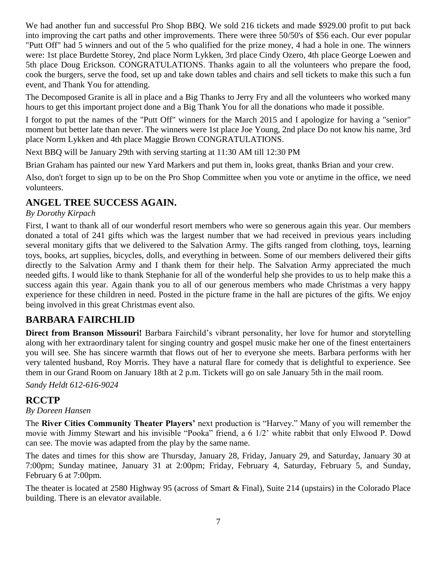We had another fun and successful Pro Shop BBQ. We sold 216 tickets and made \$929.00 profit to put back into improving the cart paths and other improvements. There were three 50/50's of \$56 each. Our ever popular "Putt Off" had 5 winners and out of the 5 who qualified for the prize money, 4 had a hole in one. The winners were: 1st place Burdette Storey, 2nd place Norm Lykken, 3rd place Cindy Ozero, 4th place George Loewen and 5th place Doug Erickson. CONGRATULATIONS. Thanks again to all the volunteers who prepare the food, cook the burgers, serve the food, set up and take down tables and chairs and sell tickets to make this such a fun event, and Thank You for attending.

The Decomposed Granite is all in place and a Big Thanks to Jerry Fry and all the volunteers who worked many hours to get this important project done and a Big Thank You for all the donations who made it possible.

I forgot to put the names of the "Putt Off" winners for the March 2015 and I apologize for having a "senior" moment but better late than never. The winners were 1st place Joe Young, 2nd place Do not know his name, 3rd place Norm Lykken and 4th place Maggie Brown CONGRATULATIONS.

Next BBQ will be January 29th with serving starting at 11:30 AM till 12:30 PM

Brian Graham has painted our new Yard Markers and put them in, looks great, thanks Brian and your crew.

Also, don't forget to sign up to be on the Pro Shop Committee when you vote or anytime in the office, we need volunteers.

## **ANGEL TREE SUCCESS AGAIN.**

#### *By Dorothy Kirpach*

First, I want to thank all of our wonderful resort members who were so generous again this year. Our members donated a total of 241 gifts which was the largest number that we had received in previous years including several monitary gifts that we delivered to the Salvation Army. The gifts ranged from clothing, toys, learning toys, books, art supplies, bicycles, dolls, and everything in between. Some of our members delivered their gifts directly to the Salvation Army and I thank them for their help. The Salvation Army appreciated the much needed gifts. I would like to thank Stephanie for all of the wonderful help she provides to us to help make this a success again this year. Again thank you to all of our generous members who made Christmas a very happy experience for these children in need. Posted in the picture frame in the hall are pictures of the gifts. We enjoy being involved in this great Christmas event also.

## **BARBARA FAIRCHLID**

**Direct from Branson Missouri!** Barbara Fairchild's vibrant personality, her love for humor and storytelling along with her extraordinary talent for singing country and gospel music make her one of the finest entertainers you will see. She has sincere warmth that flows out of her to everyone she meets. Barbara performs with her very talented husband, Roy Morris. They have a natural flare for comedy that is delightful to experience. See them in our Grand Room on January 18th at 2 p.m. Tickets will go on sale January 5th in the mail room.

*Sandy Heldt 612-616-9024*

## **RCCTP**

#### *By Doreen Hansen*

The **River Cities Community Theater Players'** next production is "Harvey." Many of you will remember the movie with Jimmy Stewart and his invisible "Pooka" friend, a 6 1/2' white rabbit that only Elwood P. Dowd can see. The movie was adapted from the play by the same name.

The dates and times for this show are Thursday, January 28, Friday, January 29, and Saturday, January 30 at 7:00pm; Sunday matinee, January 31 at 2:00pm; Friday, February 4, Saturday, February 5, and Sunday, February 6 at 7:00pm.

The theater is located at 2580 Highway 95 (across of Smart & Final), Suite 214 (upstairs) in the Colorado Place building. There is an elevator available.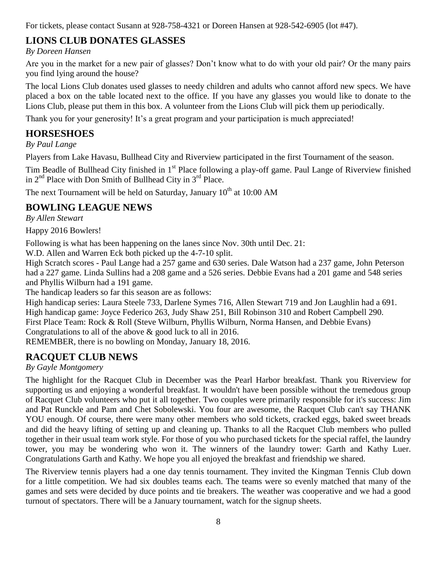For tickets, please contact Susann at 928-758-4321 or Doreen Hansen at 928-542-6905 (lot #47).

## **LIONS CLUB DONATES GLASSES**

*By Doreen Hansen*

Are you in the market for a new pair of glasses? Don't know what to do with your old pair? Or the many pairs you find lying around the house?

The local Lions Club donates used glasses to needy children and adults who cannot afford new specs. We have placed a box on the table located next to the office. If you have any glasses you would like to donate to the Lions Club, please put them in this box. A volunteer from the Lions Club will pick them up periodically.

Thank you for your generosity! It's a great program and your participation is much appreciated!

## **HORSESHOES**

*By Paul Lange*

Players from Lake Havasu, Bullhead City and Riverview participated in the first Tournament of the season.

Tim Beadle of Bullhead City finished in 1<sup>st</sup> Place following a play-off game. Paul Lange of Riverview finished in  $2<sup>nd</sup>$  Place with Don Smith of Bullhead City in  $3<sup>rd</sup>$  Place.

The next Tournament will be held on Saturday, January  $10^{th}$  at 10:00 AM

## **BOWLING LEAGUE NEWS**

*By Allen Stewart*

Happy 2016 Bowlers!

Following is what has been happening on the lanes since Nov. 30th until Dec. 21:

W.D. Allen and Warren Eck both picked up the 4-7-10 split.

High Scratch scores - Paul Lange had a 257 game and 630 series. Dale Watson had a 237 game, John Peterson had a 227 game. Linda Sullins had a 208 game and a 526 series. Debbie Evans had a 201 game and 548 series and Phyllis Wilburn had a 191 game.

The handicap leaders so far this season are as follows:

High handicap series: Laura Steele 733, Darlene Symes 716, Allen Stewart 719 and Jon Laughlin had a 691. High handicap game: Joyce Federico 263, Judy Shaw 251, Bill Robinson 310 and Robert Campbell 290. First Place Team: Rock & Roll (Steve Wilburn, Phyllis Wilburn, Norma Hansen, and Debbie Evans) Congratulations to all of the above & good luck to all in 2016.

REMEMBER, there is no bowling on Monday, January 18, 2016.

## **RACQUET CLUB NEWS**

*By Gayle Montgomery*

The highlight for the Racquet Club in December was the Pearl Harbor breakfast. Thank you Riverview for supporting us and enjoying a wonderful breakfast. It wouldn't have been possible without the tremedous group of Racquet Club volunteers who put it all together. Two couples were primarily responsible for it's success: Jim and Pat Runckle and Pam and Chet Sobolewski. You four are awesome, the Racquet Club can't say THANK YOU enough. Of course, there were many other members who sold tickets, cracked eggs, baked sweet breads and did the heavy lifting of setting up and cleaning up. Thanks to all the Racquet Club members who pulled together in their usual team work style. For those of you who purchased tickets for the special raffel, the laundry tower, you may be wondering who won it. The winners of the laundry tower: Garth and Kathy Luer. Congratulations Garth and Kathy. We hope you all enjoyed the breakfast and friendship we shared.

The Riverview tennis players had a one day tennis tournament. They invited the Kingman Tennis Club down for a little competition. We had six doubles teams each. The teams were so evenly matched that many of the games and sets were decided by duce points and tie breakers. The weather was cooperative and we had a good turnout of spectators. There will be a January tournament, watch for the signup sheets.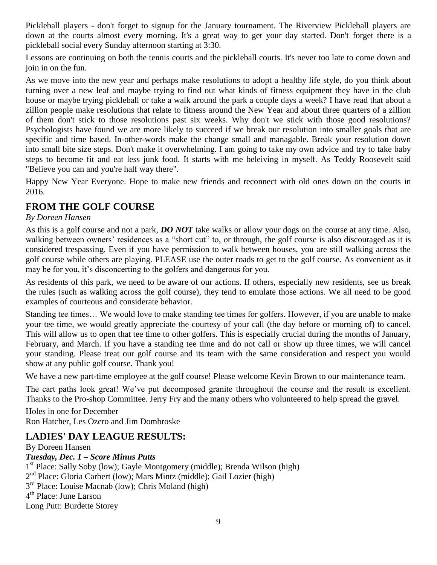Pickleball players - don't forget to signup for the January tournament. The Riverview Pickleball players are down at the courts almost every morning. It's a great way to get your day started. Don't forget there is a pickleball social every Sunday afternoon starting at 3:30.

Lessons are continuing on both the tennis courts and the pickleball courts. It's never too late to come down and join in on the fun.

As we move into the new year and perhaps make resolutions to adopt a healthy life style, do you think about turning over a new leaf and maybe trying to find out what kinds of fitness equipment they have in the club house or maybe trying pickleball or take a walk around the park a couple days a week? I have read that about a zillion people make resolutions that relate to fitness around the New Year and about three quarters of a zillion of them don't stick to those resolutions past six weeks. Why don't we stick with those good resolutions? Psychologists have found we are more likely to succeed if we break our resolution into smaller goals that are specific and time based. In-other-words make the change small and managable. Break your resolution down into small bite size steps. Don't make it overwhelming. I am going to take my own advice and try to take baby steps to become fit and eat less junk food. It starts with me beleiving in myself. As Teddy Roosevelt said "Believe you can and you're half way there".

Happy New Year Everyone. Hope to make new friends and reconnect with old ones down on the courts in 2016.

## **FROM THE GOLF COURSE**

#### *By Doreen Hansen*

As this is a golf course and not a park, *DO NOT* take walks or allow your dogs on the course at any time. Also, walking between owners' residences as a "short cut" to, or through, the golf course is also discouraged as it is considered trespassing. Even if you have permission to walk between houses, you are still walking across the golf course while others are playing. PLEASE use the outer roads to get to the golf course. As convenient as it may be for you, it's disconcerting to the golfers and dangerous for you.

As residents of this park, we need to be aware of our actions. If others, especially new residents, see us break the rules (such as walking across the golf course), they tend to emulate those actions. We all need to be good examples of courteous and considerate behavior.

Standing tee times… We would love to make standing tee times for golfers. However, if you are unable to make your tee time, we would greatly appreciate the courtesy of your call (the day before or morning of) to cancel. This will allow us to open that tee time to other golfers. This is especially crucial during the months of January, February, and March. If you have a standing tee time and do not call or show up three times, we will cancel your standing. Please treat our golf course and its team with the same consideration and respect you would show at any public golf course. Thank you!

We have a new part-time employee at the golf course! Please welcome Kevin Brown to our maintenance team.

The cart paths look great! We've put decomposed granite throughout the course and the result is excellent. Thanks to the Pro-shop Committee. Jerry Fry and the many others who volunteered to help spread the gravel.

Holes in one for December Ron Hatcher, Les Ozero and Jim Dombroske

## **LADIES' DAY LEAGUE RESULTS:**

By Doreen Hansen *Tuesday, Dec. 1 – Score Minus Putts* 1<sup>st</sup> Place: Sally Soby (low); Gayle Montgomery (middle); Brenda Wilson (high) 2<sup>nd</sup> Place: Gloria Carbert (low); Mars Mintz (middle); Gail Lozier (high) 3<sup>rd</sup> Place: Louise Macnab (low); Chris Moland (high) 4<sup>th</sup> Place: June Larson Long Putt: Burdette Storey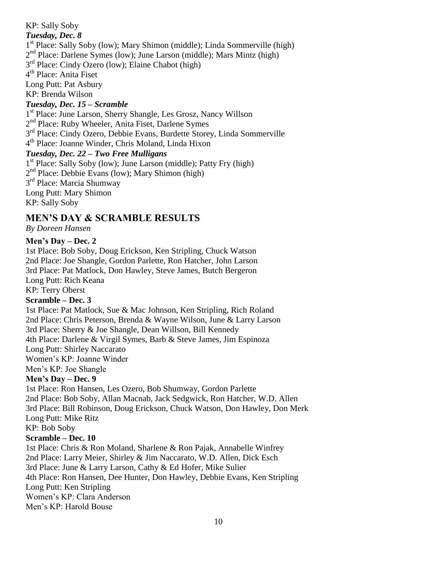KP: Sally Soby *Tuesday, Dec. 8* 1<sup>st</sup> Place: Sally Soby (low); Mary Shimon (middle); Linda Sommerville (high) 2<sup>nd</sup> Place: Darlene Symes (low); June Larson (middle); Mars Mintz (high) 3<sup>rd</sup> Place: Cindy Ozero (low); Elaine Chabot (high) 4<sup>th</sup> Place: Anita Fiset Long Putt: Pat Asbury KP: Brenda Wilson *Tuesday, Dec. 15 – Scramble* 1 st Place: June Larson, Sherry Shangle, Les Grosz, Nancy Willson 2<sup>nd</sup> Place: Ruby Wheeler, Anita Fiset, Darlene Symes 3<sup>rd</sup> Place: Cindy Ozero, Debbie Evans, Burdette Storey, Linda Sommerville 4 th Place: Joanne Winder, Chris Moland, Linda Hixon *Tuesday, Dec. 22 – Two Free Mulligans* 1<sup>st</sup> Place: Sally Soby (low); June Larson (middle); Patty Fry (high) 2<sup>nd</sup> Place: Debbie Evans (low); Mary Shimon (high) 3<sup>rd</sup> Place: Marcia Shumway Long Putt: Mary Shimon

KP: Sally Soby

#### **MEN'S DAY & SCRAMBLE RESULTS**

*By Doreen Hansen*

#### **Men's Day – Dec. 2**

1st Place: Bob Soby, Doug Erickson, Ken Stripling, Chuck Watson 2nd Place: Joe Shangle, Gordon Parlette, Ron Hatcher, John Larson 3rd Place: Pat Matlock, Don Hawley, Steve James, Butch Bergeron Long Putt: Rich Keana

KP: Terry Oberst

#### **Scramble – Dec. 3**

1st Place: Pat Matlock, Sue & Mac Johnson, Ken Stripling, Rich Roland 2nd Place: Chris Peterson, Brenda & Wayne Wilson, June & Larry Larson 3rd Place: Sherry & Joe Shangle, Dean Willson, Bill Kennedy 4th Place: Darlene & Virgil Symes, Barb & Steve James, Jim Espinoza Long Putt: Shirley Naccarato Women's KP: Joanne Winder Men's KP: Joe Shangle

#### **Men's Day – Dec. 9**

1st Place: Ron Hansen, Les Ozero, Bob Shumway, Gordon Parlette 2nd Place: Bob Soby, Allan Macnab, Jack Sedgwick, Ron Hatcher, W.D. Allen 3rd Place: Bill Robinson, Doug Erickson, Chuck Watson, Don Hawley, Don Merk Long Putt: Mike Ritz

#### KP: Bob Soby

#### **Scramble – Dec. 10**

1st Place: Chris & Ron Moland, Sharlene & Ron Pajak, Annabelle Winfrey 2nd Place: Larry Meier, Shirley & Jim Naccarato, W.D. Allen, Dick Esch 3rd Place: June & Larry Larson, Cathy & Ed Hofer, Mike Sulier 4th Place: Ron Hansen, Dee Hunter, Don Hawley, Debbie Evans, Ken Stripling Long Putt: Ken Stripling Women's KP: Clara Anderson Men's KP: Harold Bouse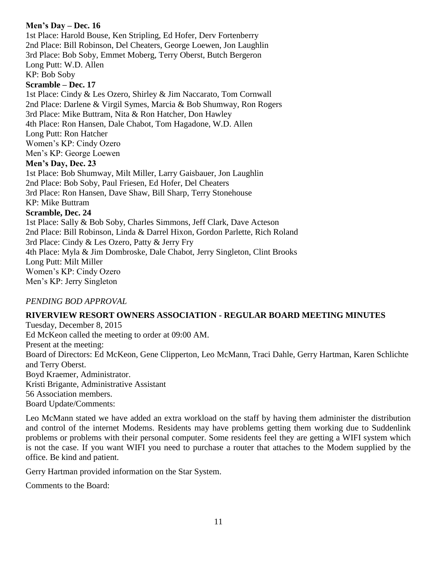#### **Men's Day – Dec. 16**

1st Place: Harold Bouse, Ken Stripling, Ed Hofer, Derv Fortenberry 2nd Place: Bill Robinson, Del Cheaters, George Loewen, Jon Laughlin 3rd Place: Bob Soby, Emmet Moberg, Terry Oberst, Butch Bergeron Long Putt: W.D. Allen

KP: Bob Soby

#### **Scramble – Dec. 17**

1st Place: Cindy & Les Ozero, Shirley & Jim Naccarato, Tom Cornwall 2nd Place: Darlene & Virgil Symes, Marcia & Bob Shumway, Ron Rogers 3rd Place: Mike Buttram, Nita & Ron Hatcher, Don Hawley 4th Place: Ron Hansen, Dale Chabot, Tom Hagadone, W.D. Allen Long Putt: Ron Hatcher Women's KP: Cindy Ozero Men's KP: George Loewen **Men's Day, Dec. 23** 1st Place: Bob Shumway, Milt Miller, Larry Gaisbauer, Jon Laughlin

2nd Place: Bob Soby, Paul Friesen, Ed Hofer, Del Cheaters

3rd Place: Ron Hansen, Dave Shaw, Bill Sharp, Terry Stonehouse

KP: Mike Buttram

#### **Scramble, Dec. 24**

1st Place: Sally & Bob Soby, Charles Simmons, Jeff Clark, Dave Acteson 2nd Place: Bill Robinson, Linda & Darrel Hixon, Gordon Parlette, Rich Roland 3rd Place: Cindy & Les Ozero, Patty & Jerry Fry 4th Place: Myla & Jim Dombroske, Dale Chabot, Jerry Singleton, Clint Brooks Long Putt: Milt Miller Women's KP: Cindy Ozero Men's KP: Jerry Singleton

#### *PENDING BOD APPROVAL*

#### **RIVERVIEW RESORT OWNERS ASSOCIATION - REGULAR BOARD MEETING MINUTES**

Tuesday, December 8, 2015 Ed McKeon called the meeting to order at 09:00 AM. Present at the meeting: Board of Directors: Ed McKeon, Gene Clipperton, Leo McMann, Traci Dahle, Gerry Hartman, Karen Schlichte and Terry Oberst. Boyd Kraemer, Administrator. Kristi Brigante, Administrative Assistant 56 Association members. Board Update/Comments:

Leo McMann stated we have added an extra workload on the staff by having them administer the distribution and control of the internet Modems. Residents may have problems getting them working due to Suddenlink problems or problems with their personal computer. Some residents feel they are getting a WIFI system which is not the case. If you want WIFI you need to purchase a router that attaches to the Modem supplied by the office. Be kind and patient.

Gerry Hartman provided information on the Star System.

Comments to the Board: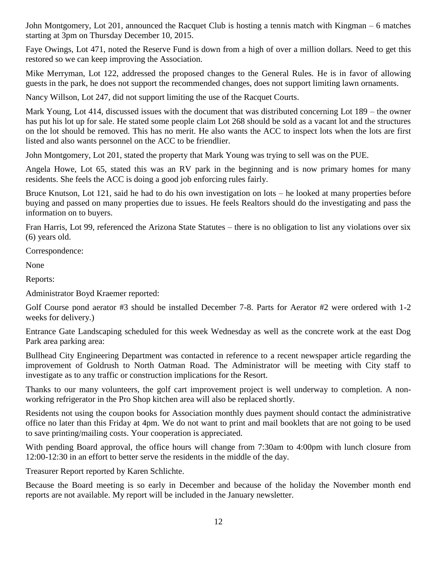John Montgomery, Lot 201, announced the Racquet Club is hosting a tennis match with Kingman – 6 matches starting at 3pm on Thursday December 10, 2015.

Faye Owings, Lot 471, noted the Reserve Fund is down from a high of over a million dollars. Need to get this restored so we can keep improving the Association.

Mike Merryman, Lot 122, addressed the proposed changes to the General Rules. He is in favor of allowing guests in the park, he does not support the recommended changes, does not support limiting lawn ornaments.

Nancy Willson, Lot 247, did not support limiting the use of the Racquet Courts.

Mark Young, Lot 414, discussed issues with the document that was distributed concerning Lot 189 – the owner has put his lot up for sale. He stated some people claim Lot 268 should be sold as a vacant lot and the structures on the lot should be removed. This has no merit. He also wants the ACC to inspect lots when the lots are first listed and also wants personnel on the ACC to be friendlier.

John Montgomery, Lot 201, stated the property that Mark Young was trying to sell was on the PUE.

Angela Howe, Lot 65, stated this was an RV park in the beginning and is now primary homes for many residents. She feels the ACC is doing a good job enforcing rules fairly.

Bruce Knutson, Lot 121, said he had to do his own investigation on lots – he looked at many properties before buying and passed on many properties due to issues. He feels Realtors should do the investigating and pass the information on to buyers.

Fran Harris, Lot 99, referenced the Arizona State Statutes – there is no obligation to list any violations over six (6) years old.

Correspondence:

None

Reports:

Administrator Boyd Kraemer reported:

Golf Course pond aerator #3 should be installed December 7-8. Parts for Aerator #2 were ordered with 1-2 weeks for delivery.)

Entrance Gate Landscaping scheduled for this week Wednesday as well as the concrete work at the east Dog Park area parking area:

Bullhead City Engineering Department was contacted in reference to a recent newspaper article regarding the improvement of Goldrush to North Oatman Road. The Administrator will be meeting with City staff to investigate as to any traffic or construction implications for the Resort.

Thanks to our many volunteers, the golf cart improvement project is well underway to completion. A nonworking refrigerator in the Pro Shop kitchen area will also be replaced shortly.

Residents not using the coupon books for Association monthly dues payment should contact the administrative office no later than this Friday at 4pm. We do not want to print and mail booklets that are not going to be used to save printing/mailing costs. Your cooperation is appreciated.

With pending Board approval, the office hours will change from 7:30am to 4:00pm with lunch closure from 12:00-12:30 in an effort to better serve the residents in the middle of the day.

Treasurer Report reported by Karen Schlichte.

Because the Board meeting is so early in December and because of the holiday the November month end reports are not available. My report will be included in the January newsletter.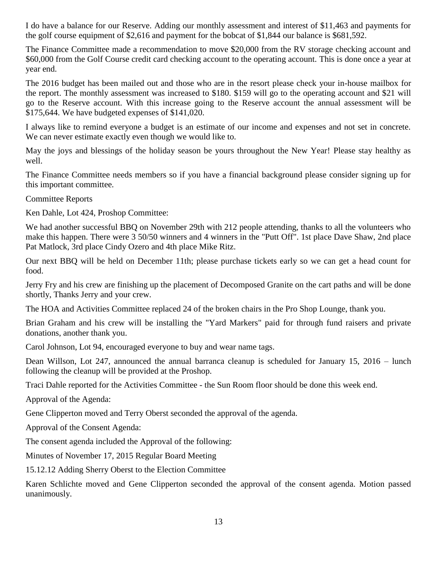I do have a balance for our Reserve. Adding our monthly assessment and interest of \$11,463 and payments for the golf course equipment of \$2,616 and payment for the bobcat of \$1,844 our balance is \$681,592.

The Finance Committee made a recommendation to move \$20,000 from the RV storage checking account and \$60,000 from the Golf Course credit card checking account to the operating account. This is done once a year at year end.

The 2016 budget has been mailed out and those who are in the resort please check your in-house mailbox for the report. The monthly assessment was increased to \$180. \$159 will go to the operating account and \$21 will go to the Reserve account. With this increase going to the Reserve account the annual assessment will be \$175,644. We have budgeted expenses of \$141,020.

I always like to remind everyone a budget is an estimate of our income and expenses and not set in concrete. We can never estimate exactly even though we would like to.

May the joys and blessings of the holiday season be yours throughout the New Year! Please stay healthy as well.

The Finance Committee needs members so if you have a financial background please consider signing up for this important committee.

Committee Reports

Ken Dahle, Lot 424, Proshop Committee:

We had another successful BBQ on November 29th with 212 people attending, thanks to all the volunteers who make this happen. There were 3 50/50 winners and 4 winners in the "Putt Off". 1st place Dave Shaw, 2nd place Pat Matlock, 3rd place Cindy Ozero and 4th place Mike Ritz.

Our next BBQ will be held on December 11th; please purchase tickets early so we can get a head count for food.

Jerry Fry and his crew are finishing up the placement of Decomposed Granite on the cart paths and will be done shortly, Thanks Jerry and your crew.

The HOA and Activities Committee replaced 24 of the broken chairs in the Pro Shop Lounge, thank you.

Brian Graham and his crew will be installing the "Yard Markers" paid for through fund raisers and private donations, another thank you.

Carol Johnson, Lot 94, encouraged everyone to buy and wear name tags.

Dean Willson, Lot 247, announced the annual barranca cleanup is scheduled for January 15, 2016 – lunch following the cleanup will be provided at the Proshop.

Traci Dahle reported for the Activities Committee - the Sun Room floor should be done this week end.

Approval of the Agenda:

Gene Clipperton moved and Terry Oberst seconded the approval of the agenda.

Approval of the Consent Agenda:

The consent agenda included the Approval of the following:

Minutes of November 17, 2015 Regular Board Meeting

15.12.12 Adding Sherry Oberst to the Election Committee

Karen Schlichte moved and Gene Clipperton seconded the approval of the consent agenda. Motion passed unanimously.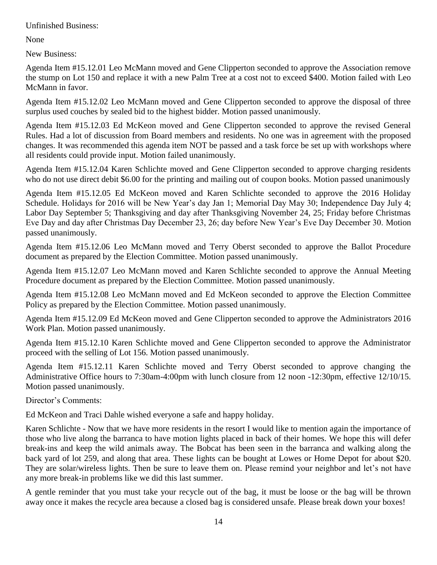Unfinished Business:

None

New Business:

Agenda Item #15.12.01 Leo McMann moved and Gene Clipperton seconded to approve the Association remove the stump on Lot 150 and replace it with a new Palm Tree at a cost not to exceed \$400. Motion failed with Leo McMann in favor.

Agenda Item #15.12.02 Leo McMann moved and Gene Clipperton seconded to approve the disposal of three surplus used couches by sealed bid to the highest bidder. Motion passed unanimously.

Agenda Item #15.12.03 Ed McKeon moved and Gene Clipperton seconded to approve the revised General Rules. Had a lot of discussion from Board members and residents. No one was in agreement with the proposed changes. It was recommended this agenda item NOT be passed and a task force be set up with workshops where all residents could provide input. Motion failed unanimously.

Agenda Item #15.12.04 Karen Schlichte moved and Gene Clipperton seconded to approve charging residents who do not use direct debit \$6.00 for the printing and mailing out of coupon books. Motion passed unanimously

Agenda Item #15.12.05 Ed McKeon moved and Karen Schlichte seconded to approve the 2016 Holiday Schedule. Holidays for 2016 will be New Year's day Jan 1; Memorial Day May 30; Independence Day July 4; Labor Day September 5; Thanksgiving and day after Thanksgiving November 24, 25; Friday before Christmas Eve Day and day after Christmas Day December 23, 26; day before New Year's Eve Day December 30. Motion passed unanimously.

Agenda Item #15.12.06 Leo McMann moved and Terry Oberst seconded to approve the Ballot Procedure document as prepared by the Election Committee. Motion passed unanimously.

Agenda Item #15.12.07 Leo McMann moved and Karen Schlichte seconded to approve the Annual Meeting Procedure document as prepared by the Election Committee. Motion passed unanimously.

Agenda Item #15.12.08 Leo McMann moved and Ed McKeon seconded to approve the Election Committee Policy as prepared by the Election Committee. Motion passed unanimously.

Agenda Item #15.12.09 Ed McKeon moved and Gene Clipperton seconded to approve the Administrators 2016 Work Plan. Motion passed unanimously.

Agenda Item #15.12.10 Karen Schlichte moved and Gene Clipperton seconded to approve the Administrator proceed with the selling of Lot 156. Motion passed unanimously.

Agenda Item #15.12.11 Karen Schlichte moved and Terry Oberst seconded to approve changing the Administrative Office hours to 7:30am-4:00pm with lunch closure from 12 noon -12:30pm, effective 12/10/15. Motion passed unanimously.

Director's Comments:

Ed McKeon and Traci Dahle wished everyone a safe and happy holiday.

Karen Schlichte - Now that we have more residents in the resort I would like to mention again the importance of those who live along the barranca to have motion lights placed in back of their homes. We hope this will defer break-ins and keep the wild animals away. The Bobcat has been seen in the barranca and walking along the back yard of lot 259, and along that area. These lights can be bought at Lowes or Home Depot for about \$20. They are solar/wireless lights. Then be sure to leave them on. Please remind your neighbor and let's not have any more break-in problems like we did this last summer.

A gentle reminder that you must take your recycle out of the bag, it must be loose or the bag will be thrown away once it makes the recycle area because a closed bag is considered unsafe. Please break down your boxes!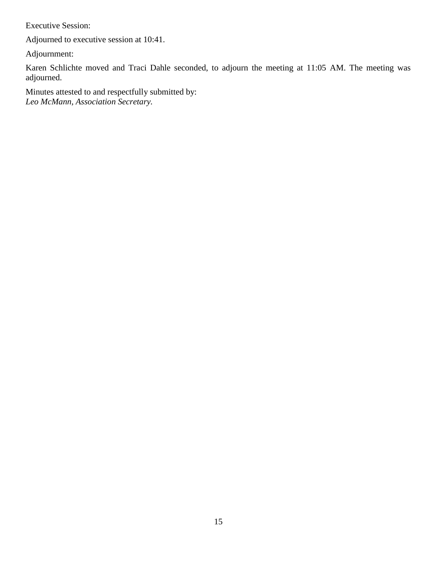Executive Session:

Adjourned to executive session at 10:41.

Adjournment:

Karen Schlichte moved and Traci Dahle seconded, to adjourn the meeting at 11:05 AM. The meeting was adjourned.

Minutes attested to and respectfully submitted by: *Leo McMann, Association Secretary.*